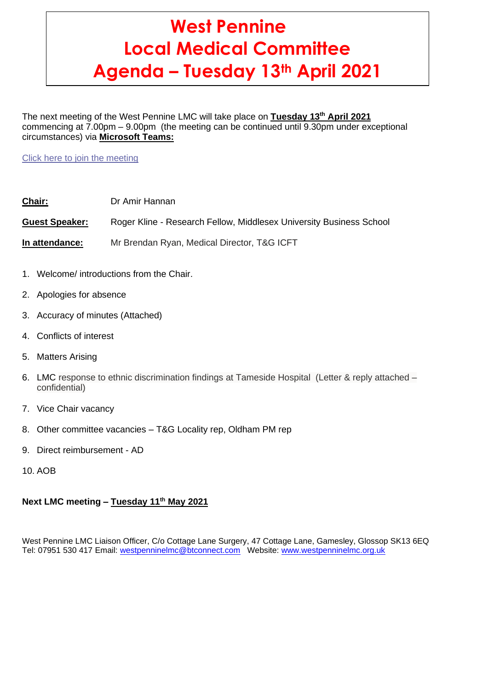# **West Pennine Local Medical Committee Agenda – Tuesday 13th April 2021**

The next meeting of the West Pennine LMC will take place on **Tuesday 13th April 2021** commencing at 7.00pm – 9.00pm (the meeting can be continued until 9.30pm under exceptional circumstances) via **Microsoft Teams:**

Click here to join the [meeting](https://teams.microsoft.com/l/meetup-join/19%3ameeting_ZWNkN2ZiNjUtNGUxOS00NWE3LWJjNDQtZjY0ZjUzNDllMWZk%40thread.v2/0?context=%7b%22Tid%22%3a%2237c354b2-85b0-47f5-b222-07b48d774ee3%22%2c%22Oid%22%3a%222b73c2c4-4d9e-4780-ac71-6a1b9abbc854%22%7d)

**Chair:** Dr Amir Hannan

**Guest Speaker:** Roger Kline - Research Fellow, Middlesex University Business School

**In attendance:** Mr Brendan Ryan, Medical Director, T&G ICFT

- 1. Welcome/ introductions from the Chair.
- 2. Apologies for absence
- 3. Accuracy of minutes (Attached)
- 4. Conflicts of interest
- 5. Matters Arising
- 6. LMC response to ethnic discrimination findings at Tameside Hospital (Letter & reply attached confidential)
- 7. Vice Chair vacancy
- 8. Other committee vacancies T&G Locality rep, Oldham PM rep
- 9. Direct reimbursement AD
- 10. AOB

# **Next LMC meeting – Tuesday 11th May 2021**

West Pennine LMC Liaison Officer, C/o Cottage Lane Surgery, 47 Cottage Lane, Gamesley, Glossop SK13 6EQ Tel: 07951 530 417 Email: [westpenninelmc@btconnect.com](mailto:westpenninelmc@btconnect.com) Website: [www.westpenninelmc.org.uk](http://www.westpenninelmc.org.uk/)